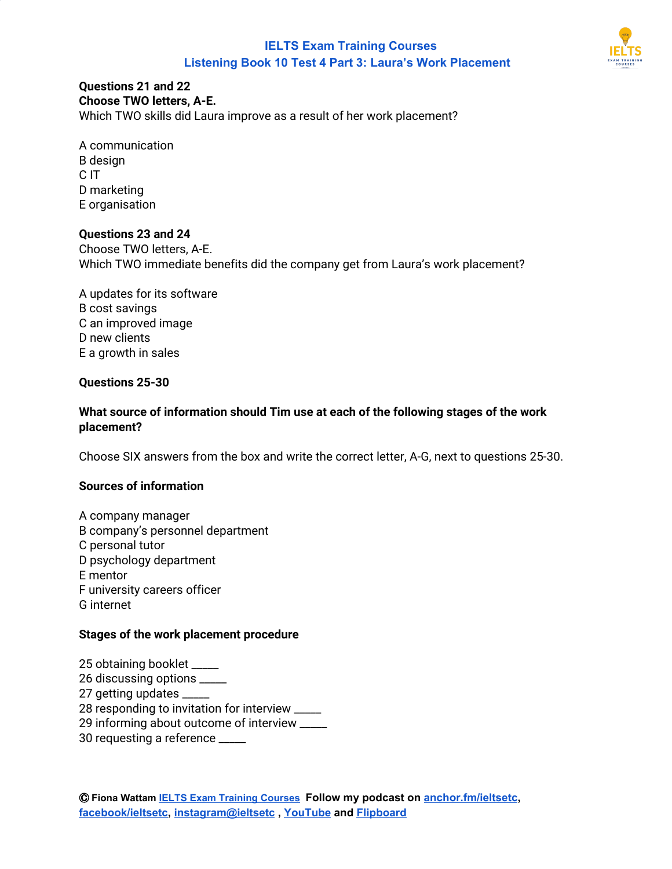

#### **Questions 21 and 22 Choose TWO letters, A-E.**

Which TWO skills did Laura improve as a result of her work placement?

A communication В design C IT D marketing E organisation

## **Questions 23 and 24**

Choose TWO letters, A-E. Which TWO immediate benefits did the company get from Laura's work placement?

A updates for its software В cost savings C an improved image D new clients E a growth in sales

## **Questions 25-30**

## **What source of information should Tim use at each of the following stages of the work placement?**

Choose SIX answers from the box and write the correct letter, A-G, next to questions 25-30.

## **Sources of information**

A company manager В company's personnel department C personal tutor D psychology department E mentor F university careers officer G internet

#### **Stages of the work placement procedure**

 obtaining booklet \_\_\_\_\_ discussing options \_\_\_\_\_ getting updates \_\_\_\_\_ responding to invitation for interview \_\_\_\_\_ informing about outcome of interview \_\_\_\_\_ requesting a reference \_\_\_\_\_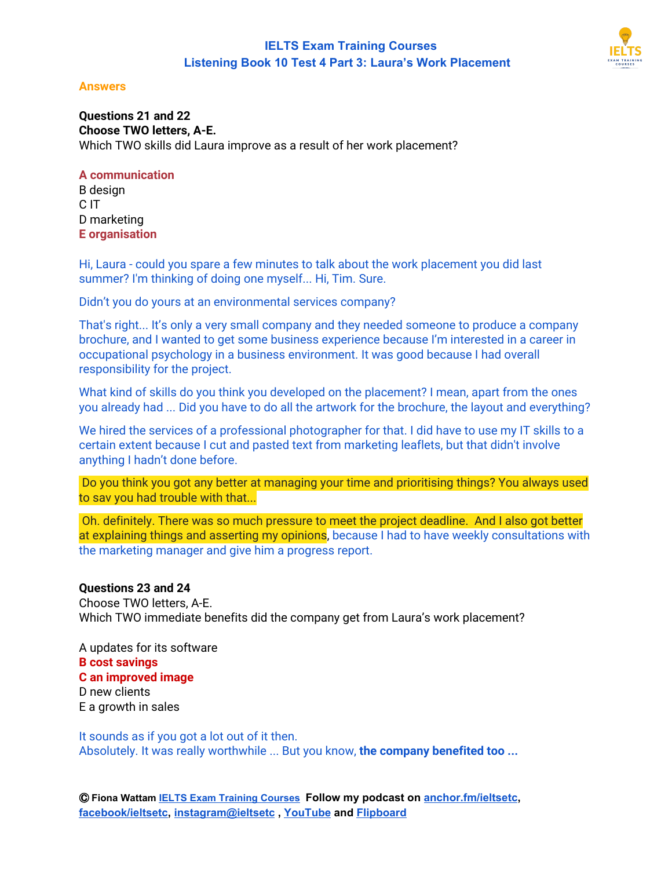

#### **Answers**

**Questions 21 and 22 Choose TWO letters, A-E.** Which TWO skills did Laura improve as a result of her work placement?

### **A communication**

В design C IT D marketing **E organisation**

Hi, Laura - could you spare a few minutes to talk about the work placement you did last summer? I'm thinking of doing one myself... Hi, Tim. Sure.

Didn't you do yours at an environmental services company?

That's right... It's only a very small company and they needed someone to produce a company brochure, and I wanted to get some business experience because I'm interested in a career in occupational psychology in a business environment. It was good because I had overall responsibility for the project.

What kind of skills do you think you developed on the placement? I mean, apart from the ones you already had ... Did you have to do all the artwork for the brochure, the layout and everything?

We hired the services of a professional photographer for that. I did have to use my IT skills to a certain extent because I cut and pasted text from marketing leaflets, but that didn't involve anything I hadn't done before.

Do you think you got any better at managing your time and prioritising things? You always used to sav you had trouble with that...

Oh. definitely. There was so much pressure to meet the project deadline. And I also got better at explaining things and asserting my opinions, because I had to have weekly consultations with the marketing manager and give him a progress report.

#### **Questions 23 and 24**

Choose TWO letters, A-E. Which TWO immediate benefits did the company get from Laura's work placement?

A updates for its software **В cost savings C an improved image** D new clients E a growth in sales

It sounds as if you got a lot out of it then. Absolutely. It was really worthwhile ... But you know, **the company benefited too ...**

Ⓒ **Fiona Wattam [IELTS Exam Training Courses](https://www.ieltsetc.com/) Follow my podcast on [anchor.fm/ieltsetc,](https://anchor.fm/ieltsetc) [facebook/ieltsetc](https://www.facebook.com/groups/528060717568309/), [instagram@ieltsetc](https://www.instagram.com/ieltsetc/) , [YouTube](https://www.youtube.com/channel/UC1tn5rRqHkjO2YWZ_MWwvZw) and [Flipboard](https://flipboard.com/@FionaWattam)**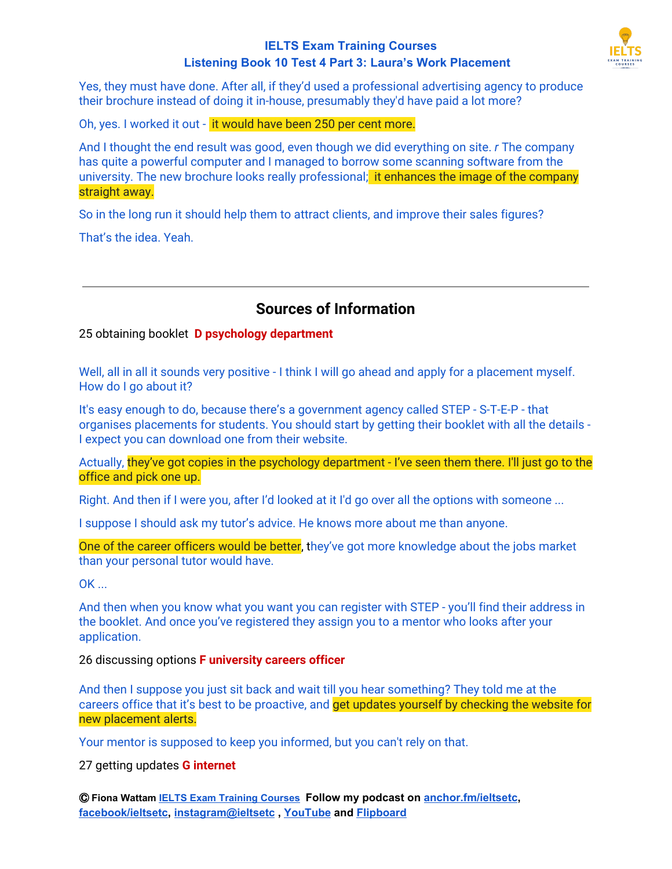

Yes, they must have done. After all, if they'd used a professional advertising agency to produce their brochure instead of doing it in-house, presumably they'd have paid a lot more?

Oh, yes. I worked it out - it would have been 250 per cent more.

And I thought the end result was good, even though we did everything on site. *r* The company has quite a powerful computer and I managed to borrow some scanning software from the university. The new brochure looks really professional; it enhances the image of the company straight away.

So in the long run it should help them to attract clients, and improve their sales figures?

That's the idea. Yeah.

# **Sources of Information**

## 25 obtaining booklet **D psychology department**

Well, all in all it sounds very positive - I think I will go ahead and apply for a placement myself. How do I go about it?

It's easy enough to do, because there's a government agency called STEP - S-T-E-P - that organises placements for students. You should start by getting their booklet with all the details - I expect you can download one from their website.

Actually, they've got copies in the psychology department - I've seen them there. I'll just go to the office and pick one up.

Right. And then if I were you, after I'd looked at it I'd go over all the options with someone ...

I suppose I should ask my tutor's advice. He knows more about me than anyone.

One of the career officers would be better, they've got more knowledge about the jobs market than your personal tutor would have.

OK ...

And then when you know what you want you can register with STEP - you'll find their address in the booklet. And once you've registered they assign you to a mentor who looks after your application.

26 discussing options **F university careers officer**

And then I suppose you just sit back and wait till you hear something? They told me at the careers office that it's best to be proactive, and get updates yourself by checking the website for new placement alerts.

Your mentor is supposed to keep you informed, but you can't rely on that.

27 getting updates **G internet**

Ⓒ **Fiona Wattam [IELTS Exam Training Courses](https://www.ieltsetc.com/) Follow my podcast on [anchor.fm/ieltsetc,](https://anchor.fm/ieltsetc) [facebook/ieltsetc](https://www.facebook.com/groups/528060717568309/), [instagram@ieltsetc](https://www.instagram.com/ieltsetc/) , [YouTube](https://www.youtube.com/channel/UC1tn5rRqHkjO2YWZ_MWwvZw) and [Flipboard](https://flipboard.com/@FionaWattam)**